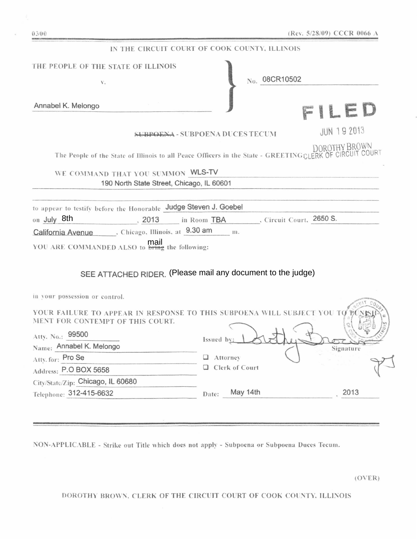| IN THE CIRCUIT COURT OF COOK COUNTY, ILLINOIS                                                               |                                        |                    |
|-------------------------------------------------------------------------------------------------------------|----------------------------------------|--------------------|
| THE PEOPLE OF THE STATE OF ILLINOIS                                                                         |                                        |                    |
| $\mathbf{V}_*$                                                                                              | No. 08CR10502                          |                    |
|                                                                                                             |                                        |                    |
| Annabel K. Melongo                                                                                          |                                        | Lt                 |
|                                                                                                             | <b>SUBPOENA - SUBPOENA DUCES TECUM</b> | <b>JUN 19 2013</b> |
| The People of the State of Illinois to all Peace Officers in the State - GREETINGCLERK OF CIRCUIT COURT     |                                        | DOROTHY BROWN      |
| WE COMMAND THAT YOU SUMMON WLS-TV                                                                           |                                        |                    |
| 190 North State Street, Chicago, IL 60601                                                                   |                                        |                    |
|                                                                                                             |                                        |                    |
| to appear to testify before the Honorable Judge Steven J. Goebel                                            |                                        |                    |
| on July 8th<br>2013                                                                                         | in Room TBA . Circuit Court, 2650 S.   |                    |
| California Avenue , Chicago, Illinois, at 9.30 am                                                           | m.                                     |                    |
| YOU ARE COMMANDED ALSO to <b>bring</b> the following:                                                       |                                        |                    |
| SEE ATTACHED RIDER. (Please mail any document to the judge)                                                 |                                        |                    |
| in your possession or control.                                                                              |                                        |                    |
| YOUR FAILURE TO APPEAR IN RESPONSE TO THIS SUBPOENA WILL SUBJECT YOU TO<br>MENT FOR CONTEMPT OF THIS COURT. |                                        |                    |
| Atty. No.: 99500<br>Name: Annabel K. Melongo                                                                | Issued by:                             | Signature          |
| Atty.for: Pro Se                                                                                            | $\Box$ Attorney                        |                    |
| Address: P.O BOX 5658                                                                                       | Clerk of Court                         |                    |
|                                                                                                             |                                        |                    |

City/State/Zip: Chicago, IL 60680 Telephone: 312-415-6632

Date: May 14th 2013

NON-APPLICABLE - Strike out Title which does not apply - Subpoena or Subpoena Duces Tecum.

 $(OVER)$ 

DOROTHY BROWN, CLERK OF THE CIRCUIT COURT OF COOK COUNTY, ILLINOIS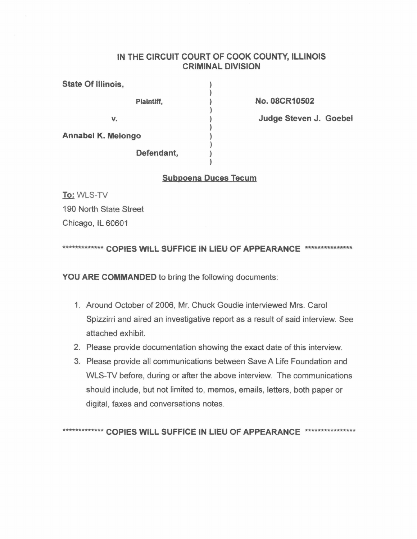## **IN THE CIRCUIT COURT OF COOK COUNTY, ILLINOIS CRIMINAL DIVISION**

) ) ) ) ) ) ) ) ) )

| State Of Illinois,        |            |
|---------------------------|------------|
|                           | Plaintiff, |
| V.                        |            |
| <b>Annabel K. Melongo</b> |            |
|                           | Defendant, |

**NO.08CR10502**

**Judge Steven J. Goebel** 

### **Subpoena Duces Tecum**

**To:** WLS-TV 190 North State Street Chicago, iL 60601

\*\*\*\*\*\*\*\*\*\*\*\*\*\* COPIES WILL SUFFICE IN LIEU OF APPEARANCE \*\*\*\*\*\*\*\*\*\*\*\*\*\*\*\*\*

**YOU ARE COMMANDED** to bring the following documents:

- 1. Around October of 2006, Mr. Chuck Goudie interviewed Mrs. Carol Spizzirri and aired an investigative report as a result of said interview. See attached exhibit.
- 2. Please provide documentation showing the exact date of this interview.
- 3. Please provide all communications between Save A Life Foundation and WLS-TV before, during or after the above interview. The communications should include, but not limited to, memos, emails, letters, both paper or digital, faxes and conversations notes.

\*\*\*\*\*\*\*\*\*\*\*\*\*\* COPIES WILL SUFFICE IN LIEU OF APPEARANCE \*\*\*\*\*\*\*\*\*\*\*\*\*\*\*\*\*\*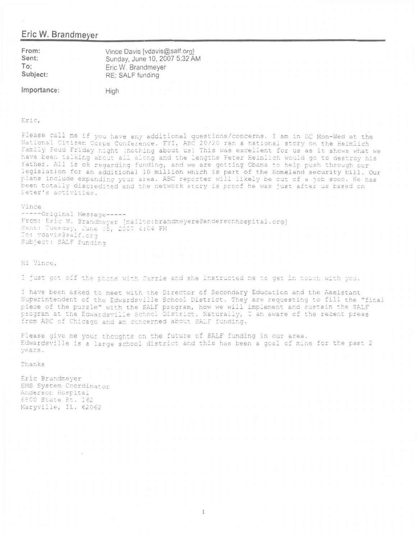## Eric W. Brandmeyer

| From:    | Vince Davis [vdavis@salf.org] |
|----------|-------------------------------|
| Sent:    | Sunday, June 10, 2007 5:32 AM |
| To:      | Eric W. Brandmeyer            |
| Subject: | RE: SALF funding              |
|          |                               |

Importance:

High

#### Eric.

Please call me if you have any additional questions/concerns. I am in DC Mon-Wed at the National Citizen Corps Conference. FYI, ABC 20/20 ran a national story on the Heimlich Family Feud Friday night (nothing about us) This was excellent for us as it shows what we have been talking about all along and the lengths Peter Heimlich would go to destroy his father. All is ok regarding funding, and we are getting Obama to help push through our legislation for an additional 10 million which is part of the Homeland security bill. Our plans include expanding your area. ABC reporter will likely be out of a job soon. He has been totally discredited and the network story is proof he was just after us based on Feter's activities.

#### Vince

-----Original Message -----From: Eric W. Brandmeyer [mailto:brandmeyere@andersonhospital.org] Sent: Tuesday, June 05, 2007 4:04 PM To: vdavis@salf.ord Subject: SALF funding

Hi Vince,

I just got off the phone with Carrie and she instructed me to get in touch with you.

I have been asked to meet with the Director of Secondary Education and the Assistant Superintendent of the Edwardsville School District. They are requesting to fill the "final piece of the puzzle" with the SALF program, how we will implement and sustain the SALF program at the Edwardsville School District. Naturally, I am aware of the recent press from ABC of Chicago and am concerned about SALF funding.

Please give me your thoughts on the future of SALF funding in our area. Edwardsville is a large school district and this has been a goal of mine for the past 2 vears.

Thanks

Eric Brandmever EMS System Coordinator Anderson Hospital 6800 State Rt. 162 Maryville, IL. 62062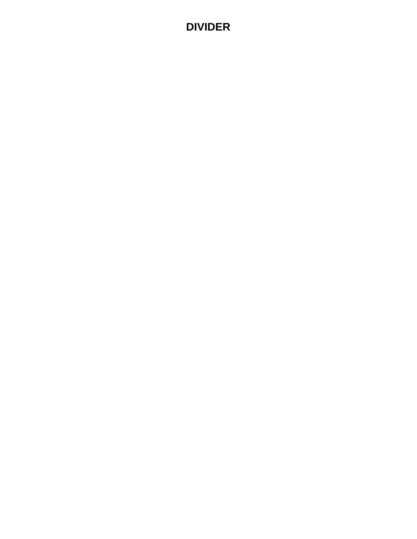## **DIVIDER**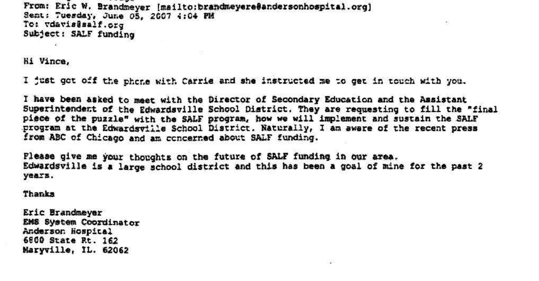From: Eric W. Brandmeyer (mailto:brandmeyere@andersonhospital.org) Sent: Tuesday, June 05, 2007 4:04 PM To: vdavis@salf.org Subject: SALF funding

Hi Vince,

I just got off the phone with Carrie and she instructed me to get in touch with you.

I have been asked to meet with the Director of Secondary Education and the Assistant Superintendent of the Edwardsville School District. They are requesting to fill the "final piece of the puzzle" with the SALF program, how we will implement and sustain the SALF program at the Edwardsville School District. Naturally, I am aware of the recent press from ABC of Chicago and am concerned about SALF funding.

Please give me your thoughts on the future of SALF funding in our area. Edwardsville is a large school district and this has been a goal of mine for the past 2 vears.

Thanks

Eric Brandmever EMS System Coordinator Anderson Hospital 6800 State Rt. 162 Maryville, IL. 62062